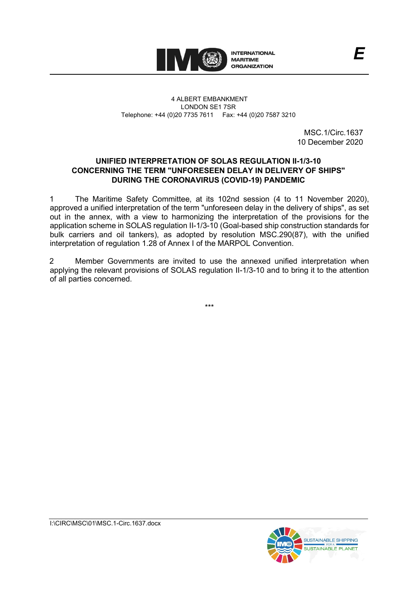

## 4 ALBERT EMBANKMENT LONDON SE1 7SR Telephone: +44 (0)20 7735 7611 Fax: +44 (0)20 7587 3210

MSC.1/Circ.1637 10 December 2020

*E*

## **UNIFIED INTERPRETATION OF SOLAS REGULATION II-1/3-10 CONCERNING THE TERM "UNFORESEEN DELAY IN DELIVERY OF SHIPS" DURING THE CORONAVIRUS (COVID-19) PANDEMIC**

1 The Maritime Safety Committee, at its 102nd session (4 to 11 November 2020), approved a unified interpretation of the term "unforeseen delay in the delivery of ships", as set out in the annex, with a view to harmonizing the interpretation of the provisions for the application scheme in SOLAS regulation II-1/3-10 (Goal-based ship construction standards for bulk carriers and oil tankers), as adopted by resolution MSC.290(87), with the unified interpretation of regulation 1.28 of Annex I of the MARPOL Convention.

2 Member Governments are invited to use the annexed unified interpretation when applying the relevant provisions of SOLAS regulation II-1/3-10 and to bring it to the attention of all parties concerned.

\*\*\*